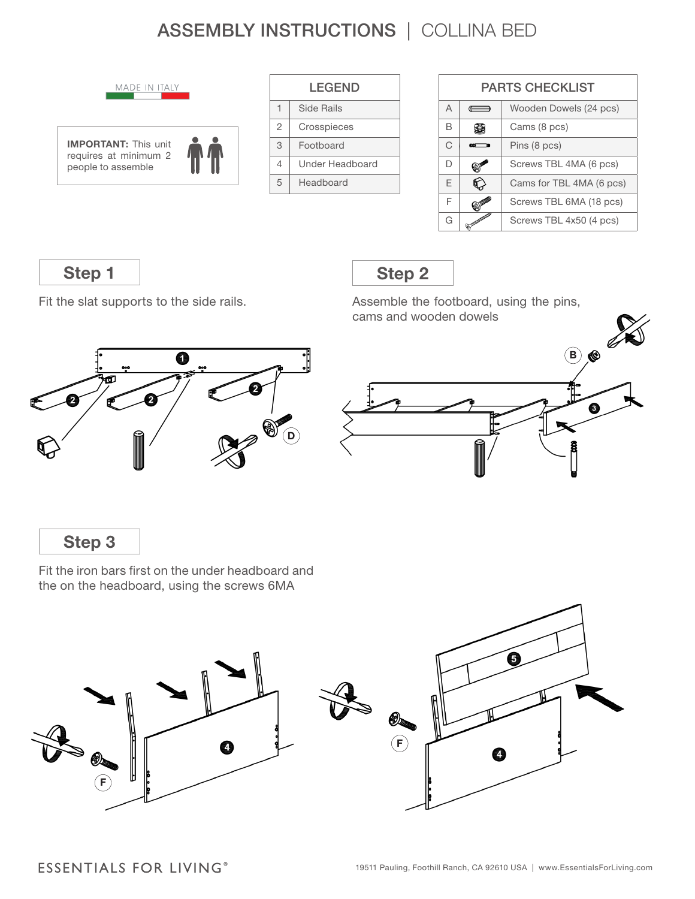# ASSEMBLY INSTRUCTIONS | COLLINA BED



| <b>LEGEND</b>  |                 |  |
|----------------|-----------------|--|
| 1              | Side Rails      |  |
| $\mathfrak{D}$ | Crosspieces     |  |
| 3              | Footboard       |  |
| 4              | Under Headboard |  |
| 5              | Headboard       |  |

| <b>PARTS CHECKLIST</b> |             |                          |  |  |
|------------------------|-------------|--------------------------|--|--|
| $\overline{A}$         | $rac{1}{2}$ | Wooden Dowels (24 pcs)   |  |  |
| R                      |             | Cams (8 pcs)             |  |  |
| C                      | m           | Pins (8 pcs)             |  |  |
| D                      |             | Screws TBL 4MA (6 pcs)   |  |  |
| F                      |             | Cams for TBL 4MA (6 pcs) |  |  |
| F                      |             | Screws TBL 6MA (18 pcs)  |  |  |
| G                      |             | Screws TBL 4x50 (4 pcs)  |  |  |

**Step 1**

Fit the slat supports to the side rails.

### **Step 2**

Assemble the footboard, using the pins, cams and wooden dowels





**Step 3**

Fit the iron bars first on the under headboard and the on the headboard, using the screws 6MA